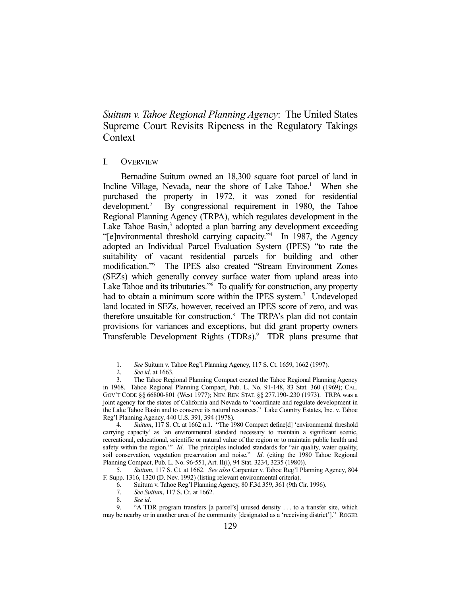*Suitum v. Tahoe Regional Planning Agency*: The United States Supreme Court Revisits Ripeness in the Regulatory Takings Context

# I. OVERVIEW

 Bernadine Suitum owned an 18,300 square foot parcel of land in Incline Village, Nevada, near the shore of Lake Tahoe.<sup>1</sup> When she purchased the property in 1972, it was zoned for residential development.2 By congressional requirement in 1980, the Tahoe Regional Planning Agency (TRPA), which regulates development in the Lake Tahoe Basin,<sup>3</sup> adopted a plan barring any development exceeding "[e]nvironmental threshold carrying capacity."4 In 1987, the Agency adopted an Individual Parcel Evaluation System (IPES) "to rate the suitability of vacant residential parcels for building and other modification."5 The IPES also created "Stream Environment Zones (SEZs) which generally convey surface water from upland areas into Lake Tahoe and its tributaries."<sup>6</sup> To qualify for construction, any property had to obtain a minimum score within the IPES system.<sup>7</sup> Undeveloped land located in SEZs, however, received an IPES score of zero, and was therefore unsuitable for construction.<sup>8</sup> The TRPA's plan did not contain provisions for variances and exceptions, but did grant property owners Transferable Development Rights (TDRs).<sup>9</sup> TDR plans presume that

<u>.</u>

 5. *Suitum*, 117 S. Ct. at 1662. *See also* Carpenter v. Tahoe Reg'l Planning Agency, 804 F. Supp. 1316, 1320 (D. Nev. 1992) (listing relevant environmental criteria).

 <sup>1.</sup> *See* Suitum v. Tahoe Reg'l Planning Agency, 117 S. Ct. 1659, 1662 (1997).

 <sup>2.</sup> *See id*. at 1663.

 <sup>3.</sup> The Tahoe Regional Planning Compact created the Tahoe Regional Planning Agency in 1968. Tahoe Regional Planning Compact, Pub. L. No. 91-148, 83 Stat. 360 (1969); CAL. GOV'T CODE §§ 66800-801 (West 1977); NEV. REV. STAT. §§ 277.190-.230 (1973). TRPA was a joint agency for the states of California and Nevada to "coordinate and regulate development in the Lake Tahoe Basin and to conserve its natural resources." Lake Country Estates, Inc. v. Tahoe Reg'l Planning Agency, 440 U.S. 391, 394 (1978).

 <sup>4.</sup> *Suitum*, 117 S. Ct. at 1662 n.1. "The 1980 Compact define[d] 'environmental threshold carrying capacity' as 'an environmental standard necessary to maintain a significant scenic, recreational, educational, scientific or natural value of the region or to maintain public health and safety within the region."" *Id*. The principles included standards for "air quality, water quality, soil conservation, vegetation preservation and noise." *Id*. (citing the 1980 Tahoe Regional Planning Compact, Pub. L. No. 96-551, Art. II(i), 94 Stat. 3234, 3235 (1980)).

<sup>6.</sup> Suitum v. Tahoe Reg'l Planning Agency, 80 F.3d 359, 361 (9th Cir. 1996).<br>7. See Suitum, 117 S. Ct. at 1662.

 <sup>7.</sup> *See Suitum*, 117 S. Ct. at 1662.

 <sup>8.</sup> *See id*.

 <sup>9. &</sup>quot;A TDR program transfers [a parcel's] unused density . . . to a transfer site, which may be nearby or in another area of the community [designated as a 'receiving district']." ROGER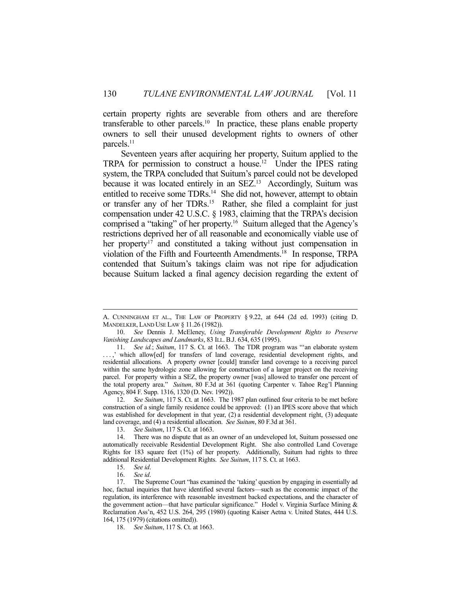certain property rights are severable from others and are therefore transferable to other parcels.<sup>10</sup> In practice, these plans enable property owners to sell their unused development rights to owners of other parcels.<sup>11</sup>

 Seventeen years after acquiring her property, Suitum applied to the TRPA for permission to construct a house.<sup>12</sup> Under the IPES rating system, the TRPA concluded that Suitum's parcel could not be developed because it was located entirely in an SEZ.<sup>13</sup> Accordingly, Suitum was entitled to receive some TDRs.<sup>14</sup> She did not, however, attempt to obtain or transfer any of her TDRs.15 Rather, she filed a complaint for just compensation under 42 U.S.C. § 1983, claiming that the TRPA's decision comprised a "taking" of her property.16 Suitum alleged that the Agency's restrictions deprived her of all reasonable and economically viable use of her property<sup>17</sup> and constituted a taking without just compensation in violation of the Fifth and Fourteenth Amendments.18 In response, TRPA contended that Suitum's takings claim was not ripe for adjudication because Suitum lacked a final agency decision regarding the extent of

A. CUNNINGHAM ET AL., THE LAW OF PROPERTY § 9.22, at 644 (2d ed. 1993) (citing D. MANDELKER, LAND USE LAW § 11.26 (1982)).

 <sup>10.</sup> *See* Dennis J. McEleney, *Using Transferable Development Rights to Preserve Vanishing Landscapes and Landmarks*, 83 ILL. B.J. 634, 635 (1995).

 <sup>11.</sup> *See id.*; *Suitum*, 117 S. Ct. at 1663. The TDR program was "'an elaborate system . . . ,' which allow[ed] for transfers of land coverage, residential development rights, and residential allocations. A property owner [could] transfer land coverage to a receiving parcel within the same hydrologic zone allowing for construction of a larger project on the receiving parcel. For property within a SEZ, the property owner [was] allowed to transfer one percent of the total property area." *Suitum*, 80 F.3d at 361 (quoting Carpenter v. Tahoe Reg'l Planning Agency, 804 F. Supp. 1316, 1320 (D. Nev. 1992)).

 <sup>12.</sup> *See Suitum*, 117 S. Ct. at 1663. The 1987 plan outlined four criteria to be met before construction of a single family residence could be approved: (1) an IPES score above that which was established for development in that year, (2) a residential development right, (3) adequate land coverage, and (4) a residential allocation. *See Suitum*, 80 F.3d at 361.

 <sup>13.</sup> *See Suitum*, 117 S. Ct. at 1663.

 <sup>14.</sup> There was no dispute that as an owner of an undeveloped lot, Suitum possessed one automatically receivable Residential Development Right. She also controlled Land Coverage Rights for 183 square feet (1%) of her property. Additionally, Suitum had rights to three additional Residential Development Rights. *See Suitum*, 117 S. Ct. at 1663.

 <sup>15.</sup> *See id*.

 <sup>16.</sup> *See id*.

 <sup>17.</sup> The Supreme Court "has examined the 'taking' question by engaging in essentially ad hoc, factual inquiries that have identified several factors—such as the economic impact of the regulation, its interference with reasonable investment backed expectations, and the character of the government action—that have particular significance." Hodel v. Virginia Surface Mining & Reclamation Ass'n, 452 U.S. 264, 295 (1980) (quoting Kaiser Aetna v. United States, 444 U.S. 164, 175 (1979) (citations omitted)).

 <sup>18.</sup> *See Suitum*, 117 S. Ct. at 1663.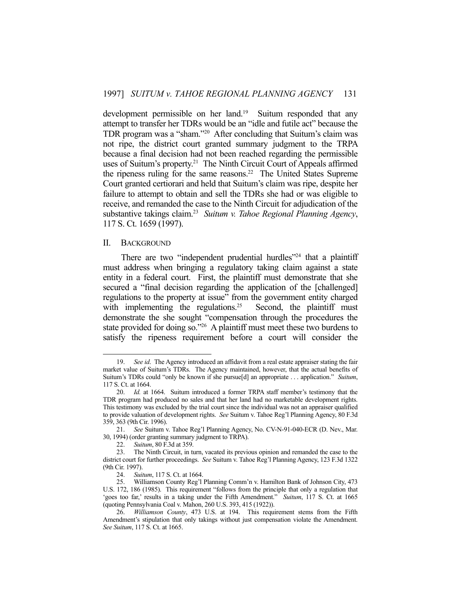development permissible on her land.<sup>19</sup> Suitum responded that any attempt to transfer her TDRs would be an "idle and futile act" because the TDR program was a "sham."20 After concluding that Suitum's claim was not ripe, the district court granted summary judgment to the TRPA because a final decision had not been reached regarding the permissible uses of Suitum's property.<sup>21</sup> The Ninth Circuit Court of Appeals affirmed the ripeness ruling for the same reasons.<sup>22</sup> The United States Supreme Court granted certiorari and held that Suitum's claim was ripe, despite her failure to attempt to obtain and sell the TDRs she had or was eligible to receive, and remanded the case to the Ninth Circuit for adjudication of the substantive takings claim.23 *Suitum v. Tahoe Regional Planning Agency*, 117 S. Ct. 1659 (1997).

#### II. BACKGROUND

1

There are two "independent prudential hurdles"<sup>24</sup> that a plaintiff must address when bringing a regulatory taking claim against a state entity in a federal court. First, the plaintiff must demonstrate that she secured a "final decision regarding the application of the [challenged] regulations to the property at issue" from the government entity charged with implementing the regulations.<sup>25</sup> Second, the plaintiff must demonstrate the she sought "compensation through the procedures the state provided for doing so."26 A plaintiff must meet these two burdens to satisfy the ripeness requirement before a court will consider the

 <sup>19.</sup> *See id*. The Agency introduced an affidavit from a real estate appraiser stating the fair market value of Suitum's TDRs. The Agency maintained, however, that the actual benefits of Suitum's TDRs could "only be known if she pursue[d] an appropriate . . . application." *Suitum*, 117 S. Ct. at 1664.

 <sup>20.</sup> *Id.* at 1664. Suitum introduced a former TRPA staff member's testimony that the TDR program had produced no sales and that her land had no marketable development rights. This testimony was excluded by the trial court since the individual was not an appraiser qualified to provide valuation of development rights. *See* Suitum v. Tahoe Reg'l Planning Agency, 80 F.3d 359, 363 (9th Cir. 1996).

 <sup>21.</sup> *See* Suitum v. Tahoe Reg'l Planning Agency, No. CV-N-91-040-ECR (D. Nev., Mar. 30, 1994) (order granting summary judgment to TRPA).

 <sup>22.</sup> *Suitum*, 80 F.3d at 359.

 <sup>23.</sup> The Ninth Circuit, in turn, vacated its previous opinion and remanded the case to the district court for further proceedings. *See* Suitum v. Tahoe Reg'l Planning Agency, 123 F.3d 1322 (9th Cir. 1997).

 <sup>24.</sup> *Suitum*, 117 S. Ct. at 1664.

 <sup>25.</sup> Williamson County Reg'l Planning Comm'n v. Hamilton Bank of Johnson City, 473 U.S. 172, 186 (1985). This requirement "follows from the principle that only a regulation that 'goes too far,' results in a taking under the Fifth Amendment." *Suitum*, 117 S. Ct. at 1665 (quoting Pennsylvania Coal v. Mahon, 260 U.S. 393, 415 (1922)).

 <sup>26.</sup> *Williamson County*, 473 U.S. at 194. This requirement stems from the Fifth Amendment's stipulation that only takings without just compensation violate the Amendment. *See Suitum*, 117 S. Ct. at 1665.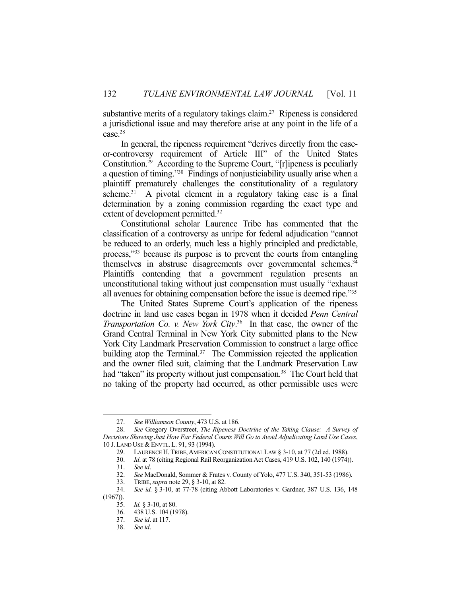substantive merits of a regulatory takings claim.<sup>27</sup> Ripeness is considered a jurisdictional issue and may therefore arise at any point in the life of a case.28

 In general, the ripeness requirement "derives directly from the caseor-controversy requirement of Article III" of the United States Constitution.29 According to the Supreme Court, "[r]ipeness is peculiarly a question of timing."30 Findings of nonjusticiability usually arise when a plaintiff prematurely challenges the constitutionality of a regulatory scheme.<sup>31</sup> A pivotal element in a regulatory taking case is a final determination by a zoning commission regarding the exact type and extent of development permitted.<sup>32</sup>

 Constitutional scholar Laurence Tribe has commented that the classification of a controversy as unripe for federal adjudication "cannot be reduced to an orderly, much less a highly principled and predictable, process,"33 because its purpose is to prevent the courts from entangling themselves in abstruse disagreements over governmental schemes.<sup>34</sup> Plaintiffs contending that a government regulation presents an unconstitutional taking without just compensation must usually "exhaust all avenues for obtaining compensation before the issue is deemed ripe."35

 The United States Supreme Court's application of the ripeness doctrine in land use cases began in 1978 when it decided *Penn Central Transportation Co. v. New York City*. 36 In that case, the owner of the Grand Central Terminal in New York City submitted plans to the New York City Landmark Preservation Commission to construct a large office building atop the Terminal. $37$  The Commission rejected the application and the owner filed suit, claiming that the Landmark Preservation Law had "taken" its property without just compensation.<sup>38</sup> The Court held that no taking of the property had occurred, as other permissible uses were

 <sup>27.</sup> *See Williamson County*, 473 U.S. at 186.

 <sup>28.</sup> *See* Gregory Overstreet, *The Ripeness Doctrine of the Taking Clause: A Survey of Decisions Showing Just How Far Federal Courts Will Go to Avoid Adjudicating Land Use Cases*, 10 J. LAND USE & ENVTL. L. 91, 93 (1994).

<sup>29.</sup> LAURENCE H. TRIBE, AMERICAN CONSTITUTIONAL LAW § 3-10, at 77 (2d ed. 1988).

 <sup>30.</sup> *Id*. at 78 (citing Regional Rail Reorganization Act Cases, 419 U.S. 102, 140 (1974)).

 <sup>31.</sup> *See id*.

 <sup>32.</sup> *See* MacDonald, Sommer & Frates v. County of Yolo, 477 U.S. 340, 351-53 (1986).

 <sup>33.</sup> TRIBE, *supra* note 29, § 3-10, at 82.

 <sup>34.</sup> *See id.* § 3-10, at 77-78 (citing Abbott Laboratories v. Gardner, 387 U.S. 136, 148 (1967)).

 <sup>35.</sup> *Id.* § 3-10, at 80.

 <sup>36. 438</sup> U.S. 104 (1978).

 <sup>37.</sup> *See id*. at 117.

 <sup>38.</sup> *See id*.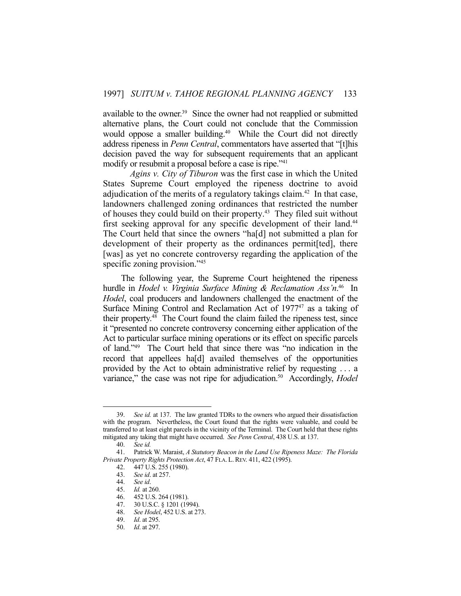available to the owner.<sup>39</sup> Since the owner had not reapplied or submitted alternative plans, the Court could not conclude that the Commission would oppose a smaller building.<sup>40</sup> While the Court did not directly address ripeness in *Penn Central*, commentators have asserted that "[t]his decision paved the way for subsequent requirements that an applicant modify or resubmit a proposal before a case is ripe."41

*Agins v. City of Tiburon* was the first case in which the United States Supreme Court employed the ripeness doctrine to avoid adjudication of the merits of a regulatory takings claim.<sup>42</sup> In that case, landowners challenged zoning ordinances that restricted the number of houses they could build on their property.43 They filed suit without first seeking approval for any specific development of their land.<sup>44</sup> The Court held that since the owners "ha[d] not submitted a plan for development of their property as the ordinances permit[ted], there [was] as yet no concrete controversy regarding the application of the specific zoning provision."<sup>45</sup>

 The following year, the Supreme Court heightened the ripeness hurdle in *Hodel v. Virginia Surface Mining & Reclamation Ass'n*. 46 In *Hodel*, coal producers and landowners challenged the enactment of the Surface Mining Control and Reclamation Act of  $1977<sup>47</sup>$  as a taking of their property.48 The Court found the claim failed the ripeness test, since it "presented no concrete controversy concerning either application of the Act to particular surface mining operations or its effect on specific parcels of land."49 The Court held that since there was "no indication in the record that appellees ha[d] availed themselves of the opportunities provided by the Act to obtain administrative relief by requesting . . . a variance," the case was not ripe for adjudication.<sup>50</sup> Accordingly, *Hodel* 

 <sup>39.</sup> *See id.* at 137. The law granted TDRs to the owners who argued their dissatisfaction with the program. Nevertheless, the Court found that the rights were valuable, and could be transferred to at least eight parcels in the vicinity of the Terminal. The Court held that these rights mitigated any taking that might have occurred. *See Penn Central*, 438 U.S. at 137.

 <sup>40.</sup> *See id.*

 <sup>41.</sup> Patrick W. Maraist, *A Statutory Beacon in the Land Use Ripeness Maze: The Florida Private Property Rights Protection Act*, 47 FLA. L.REV. 411, 422 (1995).

 <sup>42. 447</sup> U.S. 255 (1980).

 <sup>43.</sup> *See id*. at 257.

 <sup>44.</sup> *See id*.

 <sup>45.</sup> *Id.* at 260.

 <sup>46. 452</sup> U.S. 264 (1981).

 <sup>47. 30</sup> U.S.C. § 1201 (1994).

 <sup>48.</sup> *See Hodel*, 452 U.S. at 273.

 <sup>49.</sup> *Id*. at 295.

 <sup>50.</sup> *Id*. at 297.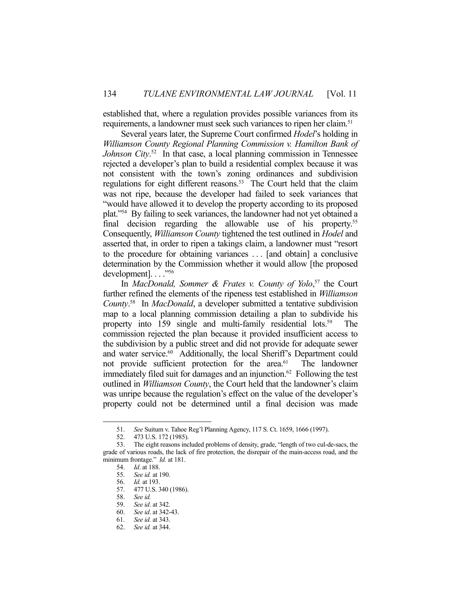established that, where a regulation provides possible variances from its requirements, a landowner must seek such variances to ripen her claim.<sup>51</sup>

 Several years later, the Supreme Court confirmed *Hodel*'s holding in *Williamson County Regional Planning Commission v. Hamilton Bank of Johnson City*. 52 In that case, a local planning commission in Tennessee rejected a developer's plan to build a residential complex because it was not consistent with the town's zoning ordinances and subdivision regulations for eight different reasons.<sup>53</sup> The Court held that the claim was not ripe, because the developer had failed to seek variances that "would have allowed it to develop the property according to its proposed plat."54 By failing to seek variances, the landowner had not yet obtained a final decision regarding the allowable use of his property.<sup>55</sup> Consequently, *Williamson County* tightened the test outlined in *Hodel* and asserted that, in order to ripen a takings claim, a landowner must "resort to the procedure for obtaining variances . . . [and obtain] a conclusive determination by the Commission whether it would allow [the proposed development]...."56

In *MacDonald, Sommer & Frates v. County of Yolo*,<sup>57</sup> the Court further refined the elements of the ripeness test established in *Williamson County*. 58 In *MacDonald*, a developer submitted a tentative subdivision map to a local planning commission detailing a plan to subdivide his property into 159 single and multi-family residential lots.<sup>59</sup> commission rejected the plan because it provided insufficient access to the subdivision by a public street and did not provide for adequate sewer and water service.<sup>60</sup> Additionally, the local Sheriff's Department could not provide sufficient protection for the area.<sup>61</sup> The landowner immediately filed suit for damages and an injunction.<sup>62</sup> Following the test outlined in *Williamson County*, the Court held that the landowner's claim was unripe because the regulation's effect on the value of the developer's property could not be determined until a final decision was made

 <sup>51.</sup> *See* Suitum v. Tahoe Reg'l Planning Agency, 117 S. Ct. 1659, 1666 (1997).

 <sup>52. 473</sup> U.S. 172 (1985).

 <sup>53.</sup> The eight reasons included problems of density, grade, "length of two cul-de-sacs, the grade of various roads, the lack of fire protection, the disrepair of the main-access road, and the minimum frontage." *Id.* at 181.

 <sup>54.</sup> *Id*. at 188.

 <sup>55.</sup> *See id.* at 190.

 <sup>56.</sup> *Id.* at 193.

<sup>57. 477</sup> U.S. 340 (1986).<br>58. See id.

 <sup>58.</sup> *See id.* 

 <sup>59.</sup> *See id*. at 342.

 <sup>60.</sup> *See id*. at 342-43.

 <sup>61.</sup> *See id.* at 343.

 <sup>62.</sup> *See id.* at 344.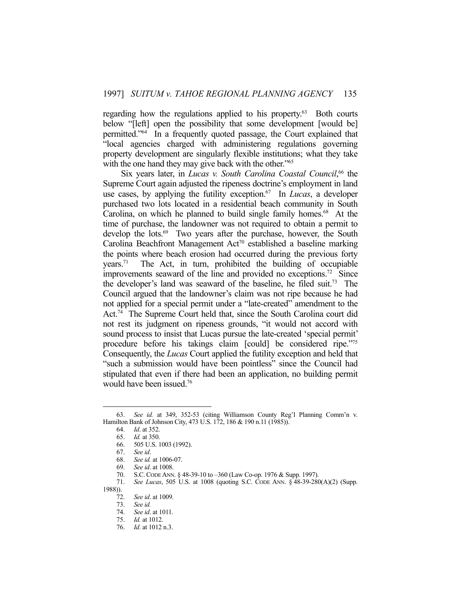regarding how the regulations applied to his property.<sup>63</sup> Both courts below "[left] open the possibility that some development [would be] permitted."64 In a frequently quoted passage, the Court explained that "local agencies charged with administering regulations governing property development are singularly flexible institutions; what they take with the one hand they may give back with the other."<sup>65</sup>

Six years later, in *Lucas v. South Carolina Coastal Council*,<sup>66</sup> the Supreme Court again adjusted the ripeness doctrine's employment in land use cases, by applying the futility exception.67 In *Lucas*, a developer purchased two lots located in a residential beach community in South Carolina, on which he planned to build single family homes. $68$  At the time of purchase, the landowner was not required to obtain a permit to develop the lots.<sup>69</sup> Two years after the purchase, however, the South Carolina Beachfront Management  $Act^{70}$  established a baseline marking the points where beach erosion had occurred during the previous forty  $years.<sup>71</sup>$  The Act, in turn, prohibited the building of occupiable improvements seaward of the line and provided no exceptions.<sup>72</sup> Since the developer's land was seaward of the baseline, he filed suit. 73 The Council argued that the landowner's claim was not ripe because he had not applied for a special permit under a "late-created" amendment to the Act.74 The Supreme Court held that, since the South Carolina court did not rest its judgment on ripeness grounds, "it would not accord with sound process to insist that Lucas pursue the late-created 'special permit' procedure before his takings claim [could] be considered ripe."75 Consequently, the *Lucas* Court applied the futility exception and held that "such a submission would have been pointless" since the Council had stipulated that even if there had been an application, no building permit would have been issued.76

 <sup>63.</sup> *See id.* at 349, 352-53 (citing Williamson County Reg'l Planning Comm'n v. Hamilton Bank of Johnson City, 473 U.S. 172, 186 & 190 n.11 (1985)).

 <sup>64.</sup> *Id*. at 352.

 <sup>65.</sup> *Id.* at 350.

 <sup>66. 505</sup> U.S. 1003 (1992).

 <sup>67.</sup> *See id*.

 <sup>68.</sup> *See id.* at 1006-07.

 <sup>69.</sup> *See id*. at 1008.

 <sup>70.</sup> S.C. CODE ANN. § 48-39-10 to –360 (Law Co-op. 1976 & Supp. 1997).

 <sup>71.</sup> *See Lucas*, 505 U.S. at 1008 (quoting S.C. CODE ANN. § 48-39-280(A)(2) (Supp. 1988)).

 <sup>72.</sup> *See id*. at 1009.

 <sup>73.</sup> *See id.*

 <sup>74.</sup> *See id*. at 1011.

 <sup>75.</sup> *Id.* at 1012.

 <sup>76.</sup> *Id.* at 1012 n.3.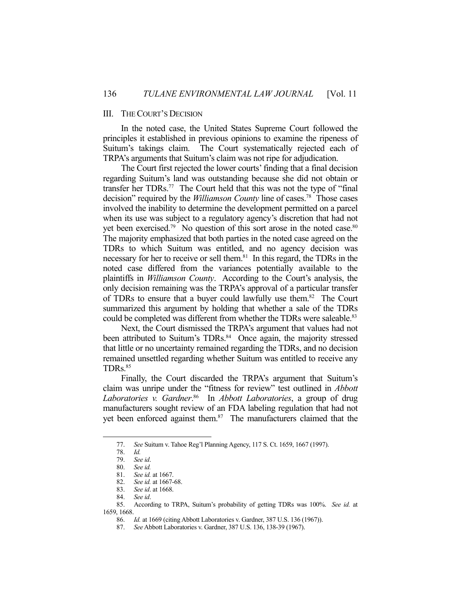# III. THE COURT'S DECISION

 In the noted case, the United States Supreme Court followed the principles it established in previous opinions to examine the ripeness of Suitum's takings claim. The Court systematically rejected each of TRPA's arguments that Suitum's claim was not ripe for adjudication.

 The Court first rejected the lower courts' finding that a final decision regarding Suitum's land was outstanding because she did not obtain or transfer her TDRs.77 The Court held that this was not the type of "final decision" required by the *Williamson County* line of cases.78 Those cases involved the inability to determine the development permitted on a parcel when its use was subject to a regulatory agency's discretion that had not yet been exercised.<sup>79</sup> No question of this sort arose in the noted case.<sup>80</sup> The majority emphasized that both parties in the noted case agreed on the TDRs to which Suitum was entitled, and no agency decision was necessary for her to receive or sell them.<sup>81</sup> In this regard, the TDRs in the noted case differed from the variances potentially available to the plaintiffs in *Williamson County*. According to the Court's analysis, the only decision remaining was the TRPA's approval of a particular transfer of TDRs to ensure that a buyer could lawfully use them.82 The Court summarized this argument by holding that whether a sale of the TDRs could be completed was different from whether the TDRs were saleable.<sup>83</sup>

 Next, the Court dismissed the TRPA's argument that values had not been attributed to Suitum's TDRs.<sup>84</sup> Once again, the majority stressed that little or no uncertainty remained regarding the TDRs, and no decision remained unsettled regarding whether Suitum was entitled to receive any TDRs.85

 Finally, the Court discarded the TRPA's argument that Suitum's claim was unripe under the "fitness for review" test outlined in *Abbott Laboratories v. Gardner*. 86 In *Abbott Laboratories*, a group of drug manufacturers sought review of an FDA labeling regulation that had not yet been enforced against them.<sup>87</sup> The manufacturers claimed that the

 <sup>77.</sup> *See* Suitum v. Tahoe Reg'l Planning Agency, 117 S. Ct. 1659, 1667 (1997).

 <sup>78.</sup> *Id.*

 <sup>79.</sup> *See id*.

 <sup>80.</sup> *See id.*

 <sup>81.</sup> *See id.* at 1667.

 <sup>82.</sup> *See id.* at 1667-68.

 <sup>83.</sup> *See id*. at 1668.

 <sup>84.</sup> *See id*.

 <sup>85.</sup> According to TRPA, Suitum's probability of getting TDRs was 100%. *See id.* at 1659, 1668.

 <sup>86.</sup> *Id.* at 1669 (citing Abbott Laboratories v. Gardner, 387 U.S. 136 (1967)).

 <sup>87.</sup> *See* Abbott Laboratories v. Gardner, 387 U.S. 136, 138-39 (1967).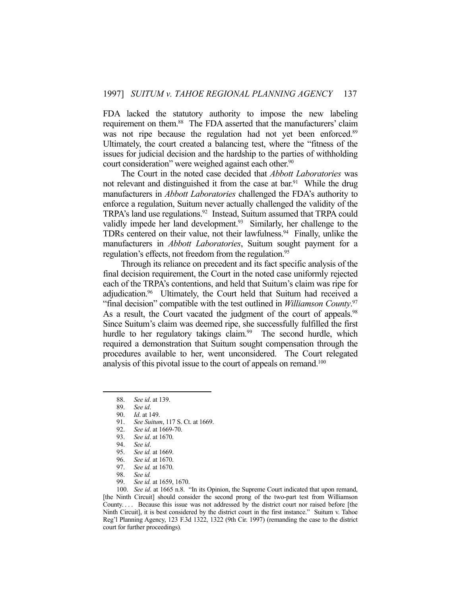FDA lacked the statutory authority to impose the new labeling requirement on them.<sup>88</sup> The FDA asserted that the manufacturers' claim was not ripe because the regulation had not yet been enforced.<sup>89</sup> Ultimately, the court created a balancing test, where the "fitness of the issues for judicial decision and the hardship to the parties of withholding court consideration" were weighed against each other.<sup>90</sup>

 The Court in the noted case decided that *Abbott Laboratories* was not relevant and distinguished it from the case at bar.<sup>91</sup> While the drug manufacturers in *Abbott Laboratories* challenged the FDA's authority to enforce a regulation, Suitum never actually challenged the validity of the TRPA's land use regulations.<sup>92</sup> Instead, Suitum assumed that TRPA could validly impede her land development.<sup>93</sup> Similarly, her challenge to the TDRs centered on their value, not their lawfulness.<sup>94</sup> Finally, unlike the manufacturers in *Abbott Laboratories*, Suitum sought payment for a regulation's effects, not freedom from the regulation.<sup>95</sup>

 Through its reliance on precedent and its fact specific analysis of the final decision requirement, the Court in the noted case uniformly rejected each of the TRPA's contentions, and held that Suitum's claim was ripe for adjudication.96 Ultimately, the Court held that Suitum had received a "final decision" compatible with the test outlined in *Williamson County*. 97 As a result, the Court vacated the judgment of the court of appeals.<sup>98</sup> Since Suitum's claim was deemed ripe, she successfully fulfilled the first hurdle to her regulatory takings claim.<sup>99</sup> The second hurdle, which required a demonstration that Suitum sought compensation through the procedures available to her, went unconsidered. The Court relegated analysis of this pivotal issue to the court of appeals on remand.<sup>100</sup>

<u>.</u>

- 91. *See Suitum*, 117 S. Ct. at 1669.
- 92. *See id*. at 1669-70.
- 93. *See id*. at 1670.
- 94. *See id*.
- 95. *See id.* at 1669.
- 96. *See id.* at 1670.
- 97. *See id.* at 1670.
- 
- 98. *See id.* See id. at 1659, 1670.

 100. *See id*. at 1665 n.8. "In its Opinion, the Supreme Court indicated that upon remand, [the Ninth Circuit] should consider the second prong of the two-part test from Williamson County.... Because this issue was not addressed by the district court nor raised before [the Ninth Circuit], it is best considered by the district court in the first instance." Suitum v. Tahoe Reg'l Planning Agency, 123 F.3d 1322, 1322 (9th Cir. 1997) (remanding the case to the district court for further proceedings)*.*

 <sup>88.</sup> *See id*. at 139.

 <sup>89.</sup> *See id*.

 <sup>90.</sup> *Id*. at 149.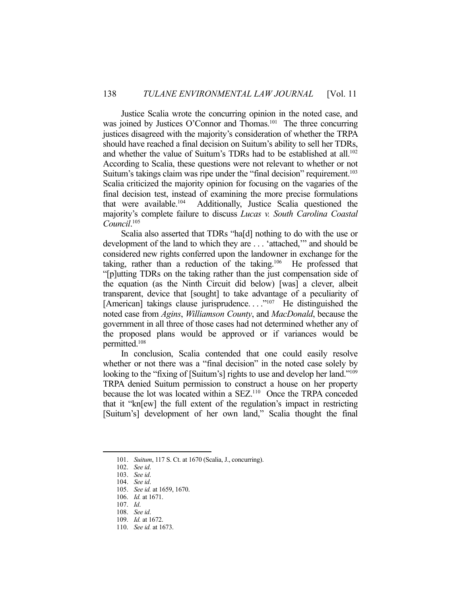Justice Scalia wrote the concurring opinion in the noted case, and was joined by Justices O'Connor and Thomas.<sup>101</sup> The three concurring justices disagreed with the majority's consideration of whether the TRPA should have reached a final decision on Suitum's ability to sell her TDRs, and whether the value of Suitum's TDRs had to be established at all.102 According to Scalia, these questions were not relevant to whether or not Suitum's takings claim was ripe under the "final decision" requirement.<sup>103</sup> Scalia criticized the majority opinion for focusing on the vagaries of the final decision test, instead of examining the more precise formulations that were available.104 Additionally, Justice Scalia questioned the majority's complete failure to discuss *Lucas v. South Carolina Coastal Council*. 105

 Scalia also asserted that TDRs "ha[d] nothing to do with the use or development of the land to which they are . . . 'attached,'" and should be considered new rights conferred upon the landowner in exchange for the taking, rather than a reduction of the taking.106 He professed that "[p]utting TDRs on the taking rather than the just compensation side of the equation (as the Ninth Circuit did below) [was] a clever, albeit transparent, device that [sought] to take advantage of a peculiarity of [American] takings clause jurisprudence...."<sup>107</sup> He distinguished the noted case from *Agins*, *Williamson County*, and *MacDonald*, because the government in all three of those cases had not determined whether any of the proposed plans would be approved or if variances would be permitted.108

 In conclusion, Scalia contended that one could easily resolve whether or not there was a "final decision" in the noted case solely by looking to the "fixing of [Suitum's] rights to use and develop her land."<sup>109</sup> TRPA denied Suitum permission to construct a house on her property because the lot was located within a SEZ.<sup>110</sup> Once the TRPA conceded that it "kn[ew] the full extent of the regulation's impact in restricting [Suitum's] development of her own land," Scalia thought the final

 <sup>101.</sup> *Suitum*, 117 S. Ct. at 1670 (Scalia, J., concurring).

 <sup>102.</sup> *See id*.

 <sup>103.</sup> *See id*.

 <sup>104.</sup> *See id*.

 <sup>105.</sup> *See id.* at 1659, 1670.

 <sup>106.</sup> *Id.* at 1671.

 <sup>107.</sup> *Id*.

 <sup>108.</sup> *See id*.

 <sup>109.</sup> *Id.* at 1672.

 <sup>110.</sup> *See id.* at 1673.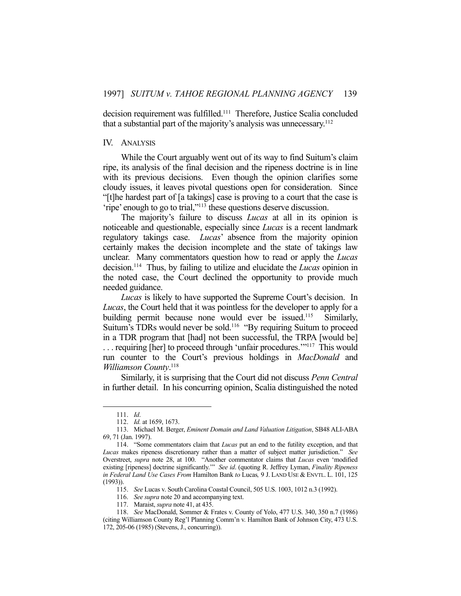decision requirement was fulfilled.111 Therefore, Justice Scalia concluded that a substantial part of the majority's analysis was unnecessary.112

### IV. ANALYSIS

 While the Court arguably went out of its way to find Suitum's claim ripe, its analysis of the final decision and the ripeness doctrine is in line with its previous decisions. Even though the opinion clarifies some cloudy issues, it leaves pivotal questions open for consideration. Since "[t]he hardest part of [a takings] case is proving to a court that the case is 'ripe' enough to go to trial,"113 these questions deserve discussion.

 The majority's failure to discuss *Lucas* at all in its opinion is noticeable and questionable, especially since *Lucas* is a recent landmark regulatory takings case. *Lucas*' absence from the majority opinion certainly makes the decision incomplete and the state of takings law unclear. Many commentators question how to read or apply the *Lucas* decision.114 Thus, by failing to utilize and elucidate the *Lucas* opinion in the noted case, the Court declined the opportunity to provide much needed guidance.

 *Lucas* is likely to have supported the Supreme Court's decision. In *Lucas*, the Court held that it was pointless for the developer to apply for a building permit because none would ever be issued.<sup>115</sup> Similarly, Suitum's TDRs would never be sold.<sup>116</sup> "By requiring Suitum to proceed in a TDR program that [had] not been successful, the TRPA [would be] . . . requiring [her] to proceed through 'unfair procedures.'"117 This would run counter to the Court's previous holdings in *MacDonald* and *Williamson County*. 118

 Similarly, it is surprising that the Court did not discuss *Penn Central* in further detail. In his concurring opinion, Scalia distinguished the noted

 <sup>111.</sup> *Id*.

 <sup>112.</sup> *Id.* at 1659, 1673.

 <sup>113.</sup> Michael M. Berger, *Eminent Domain and Land Valuation Litigation*, SB48 ALI-ABA 69, 71 (Jan. 1997).

 <sup>114. &</sup>quot;Some commentators claim that *Lucas* put an end to the futility exception, and that *Lucas* makes ripeness discretionary rather than a matter of subject matter jurisdiction." *See* Overstreet, *supra* note 28, at 100. "Another commentator claims that *Lucas* even 'modified existing [ripeness] doctrine significantly.'" *See id*. (quoting R. Jeffrey Lyman, *Finality Ripeness in Federal Land Use Cases From* Hamilton Bank *to* Lucas*,* 9 J. LAND USE & ENVTL. L. 101, 125 (1993)).

 <sup>115.</sup> *See* Lucas v. South Carolina Coastal Council, 505 U.S. 1003, 1012 n.3 (1992).

 <sup>116.</sup> *See supra* note 20 and accompanying text.

 <sup>117.</sup> Maraist, *supra* note 41, at 435.

 <sup>118.</sup> *See* MacDonald, Sommer & Frates v. County of Yolo, 477 U.S. 340, 350 n.7 (1986) (citing Williamson County Reg'l Planning Comm'n v. Hamilton Bank of Johnson City, 473 U.S. 172, 205-06 (1985) (Stevens, J., concurring)).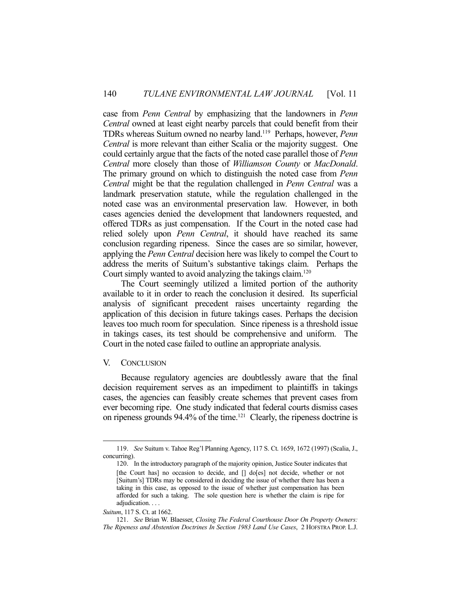case from *Penn Central* by emphasizing that the landowners in *Penn Central* owned at least eight nearby parcels that could benefit from their TDRs whereas Suitum owned no nearby land.119 Perhaps, however, *Penn Central* is more relevant than either Scalia or the majority suggest. One could certainly argue that the facts of the noted case parallel those of *Penn Central* more closely than those of *Williamson County* or *MacDonald*. The primary ground on which to distinguish the noted case from *Penn Central* might be that the regulation challenged in *Penn Central* was a landmark preservation statute, while the regulation challenged in the noted case was an environmental preservation law. However, in both cases agencies denied the development that landowners requested, and offered TDRs as just compensation. If the Court in the noted case had relied solely upon *Penn Central*, it should have reached its same conclusion regarding ripeness. Since the cases are so similar, however, applying the *Penn Central* decision here was likely to compel the Court to address the merits of Suitum's substantive takings claim. Perhaps the Court simply wanted to avoid analyzing the takings claim.<sup>120</sup>

 The Court seemingly utilized a limited portion of the authority available to it in order to reach the conclusion it desired. Its superficial analysis of significant precedent raises uncertainty regarding the application of this decision in future takings cases. Perhaps the decision leaves too much room for speculation. Since ripeness is a threshold issue in takings cases, its test should be comprehensive and uniform. The Court in the noted case failed to outline an appropriate analysis.

#### V. CONCLUSION

1

 Because regulatory agencies are doubtlessly aware that the final decision requirement serves as an impediment to plaintiffs in takings cases, the agencies can feasibly create schemes that prevent cases from ever becoming ripe. One study indicated that federal courts dismiss cases on ripeness grounds 94.4% of the time.121 Clearly, the ripeness doctrine is

 <sup>119.</sup> *See* Suitum v. Tahoe Reg'l Planning Agency, 117 S. Ct. 1659, 1672 (1997) (Scalia, J., concurring).

 <sup>120.</sup> In the introductory paragraph of the majority opinion, Justice Souter indicates that [the Court has] no occasion to decide, and [] do[es] not decide, whether or not [Suitum's] TDRs may be considered in deciding the issue of whether there has been a taking in this case, as opposed to the issue of whether just compensation has been afforded for such a taking. The sole question here is whether the claim is ripe for adjudication. . . .

*Suitum*, 117 S. Ct. at 1662.

 <sup>121.</sup> *See* Brian W. Blaesser, *Closing The Federal Courthouse Door On Property Owners: The Ripeness and Abstention Doctrines In Section 1983 Land Use Cases*, 2 HOFSTRA PROP. L.J.